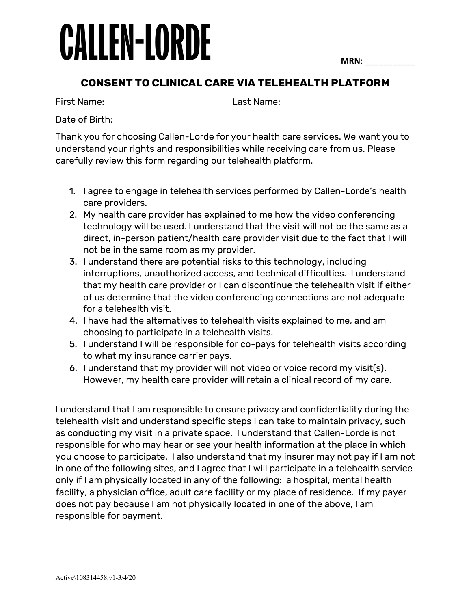## **CALLEN-LORDE**

**MRN: \_\_\_\_\_\_\_\_\_\_\_**

## **CONSENT TO CLINICAL CARE VIA TELEHEALTH PLATFORM**

First Name: Last Name:

Date of Birth:

Thank you for choosing Callen-Lorde for your health care services. We want you to understand your rights and responsibilities while receiving care from us. Please carefully review this form regarding our telehealth platform.

- 1. I agree to engage in telehealth services performed by Callen-Lorde's health care providers.
- 2. My health care provider has explained to me how the video conferencing technology will be used. I understand that the visit will not be the same as a direct, in-person patient/health care provider visit due to the fact that I will not be in the same room as my provider.
- 3. I understand there are potential risks to this technology, including interruptions, unauthorized access, and technical difficulties. I understand that my health care provider or I can discontinue the telehealth visit if either of us determine that the video conferencing connections are not adequate for a telehealth visit.
- 4. I have had the alternatives to telehealth visits explained to me, and am choosing to participate in a telehealth visits.
- 5. I understand I will be responsible for co-pays for telehealth visits according to what my insurance carrier pays.
- 6. I understand that my provider will not video or voice record my visit(s). However, my health care provider will retain a clinical record of my care.

I understand that I am responsible to ensure privacy and confidentiality during the telehealth visit and understand specific steps I can take to maintain privacy, such as conducting my visit in a private space. I understand that Callen-Lorde is not responsible for who may hear or see your health information at the place in which you choose to participate. I also understand that my insurer may not pay if I am not in one of the following sites, and I agree that I will participate in a telehealth service only if I am physically located in any of the following: a hospital, mental health facility, a physician office, adult care facility or my place of residence. If my payer does not pay because I am not physically located in one of the above, I am responsible for payment.